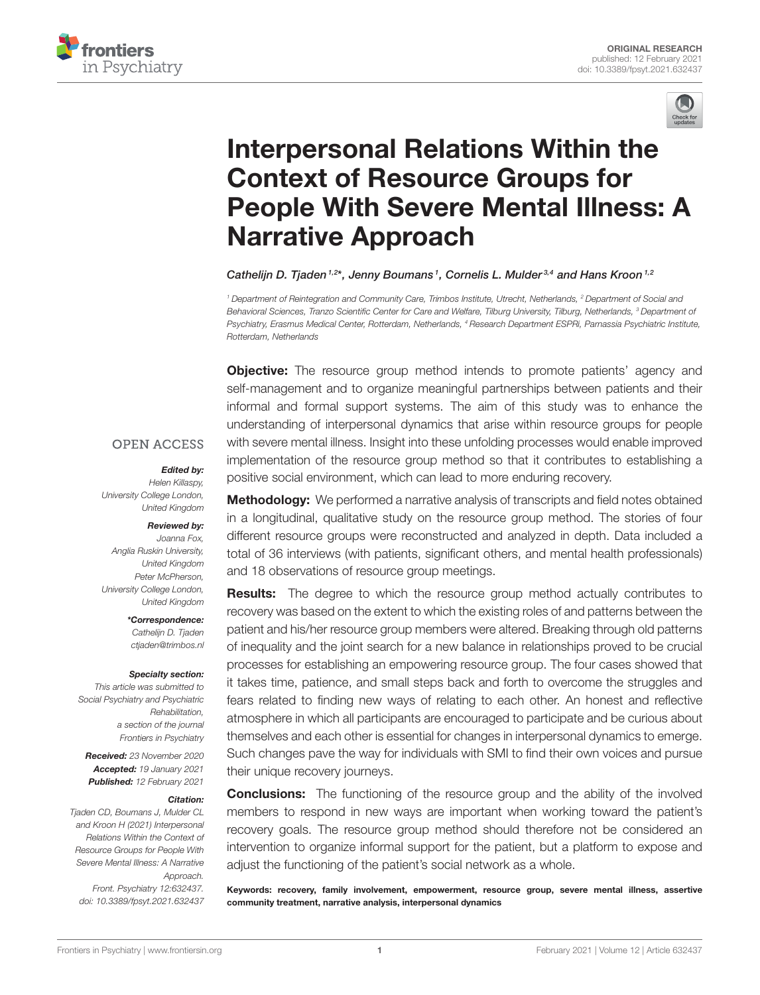



# Interpersonal Relations Within the Context of Resource Groups for [People With Severe Mental Illness: A](https://www.frontiersin.org/articles/10.3389/fpsyt.2021.632437/full) Narrative Approach

Cathelijn D. Tjaden<sup>1,2\*</sup>, Jenny Boumans<sup>1</sup>, Cornelis L. Mulder<sup>3,4</sup> and Hans Kroon<sup>1,2</sup>

*<sup>1</sup> Department of Reintegration and Community Care, Trimbos Institute, Utrecht, Netherlands, <sup>2</sup> Department of Social and Behavioral Sciences, Tranzo Scientific Center for Care and Welfare, Tilburg University, Tilburg, Netherlands, <sup>3</sup> Department of Psychiatry, Erasmus Medical Center, Rotterdam, Netherlands, <sup>4</sup> Research Department ESPRi, Parnassia Psychiatric Institute, Rotterdam, Netherlands*

**Objective:** The resource group method intends to promote patients' agency and self-management and to organize meaningful partnerships between patients and their informal and formal support systems. The aim of this study was to enhance the understanding of interpersonal dynamics that arise within resource groups for people with severe mental illness. Insight into these unfolding processes would enable improved implementation of the resource group method so that it contributes to establishing a positive social environment, which can lead to more enduring recovery.

#### **OPEN ACCESS**

#### Edited by:

*Helen Killaspy, University College London, United Kingdom*

#### Reviewed by:

*Joanna Fox, Anglia Ruskin University, United Kingdom Peter McPherson, University College London, United Kingdom*

> \*Correspondence: *Cathelijn D. Tjaden [ctjaden@trimbos.nl](mailto:ctjaden@trimbos.nl)*

#### Specialty section:

*This article was submitted to Social Psychiatry and Psychiatric Rehabilitation, a section of the journal Frontiers in Psychiatry*

Received: *23 November 2020* Accepted: *19 January 2021* Published: *12 February 2021*

#### Citation:

*Tjaden CD, Boumans J, Mulder CL and Kroon H (2021) Interpersonal Relations Within the Context of Resource Groups for People With Severe Mental Illness: A Narrative Approach. Front. Psychiatry 12:632437. doi: [10.3389/fpsyt.2021.632437](https://doi.org/10.3389/fpsyt.2021.632437)*

**Methodology:** We performed a narrative analysis of transcripts and field notes obtained in a longitudinal, qualitative study on the resource group method. The stories of four different resource groups were reconstructed and analyzed in depth. Data included a total of 36 interviews (with patients, significant others, and mental health professionals) and 18 observations of resource group meetings.

**Results:** The degree to which the resource group method actually contributes to recovery was based on the extent to which the existing roles of and patterns between the patient and his/her resource group members were altered. Breaking through old patterns of inequality and the joint search for a new balance in relationships proved to be crucial processes for establishing an empowering resource group. The four cases showed that it takes time, patience, and small steps back and forth to overcome the struggles and fears related to finding new ways of relating to each other. An honest and reflective atmosphere in which all participants are encouraged to participate and be curious about themselves and each other is essential for changes in interpersonal dynamics to emerge. Such changes pave the way for individuals with SMI to find their own voices and pursue their unique recovery journeys.

**Conclusions:** The functioning of the resource group and the ability of the involved members to respond in new ways are important when working toward the patient's recovery goals. The resource group method should therefore not be considered an intervention to organize informal support for the patient, but a platform to expose and adjust the functioning of the patient's social network as a whole.

Keywords: recovery, family involvement, empowerment, resource group, severe mental illness, assertive community treatment, narrative analysis, interpersonal dynamics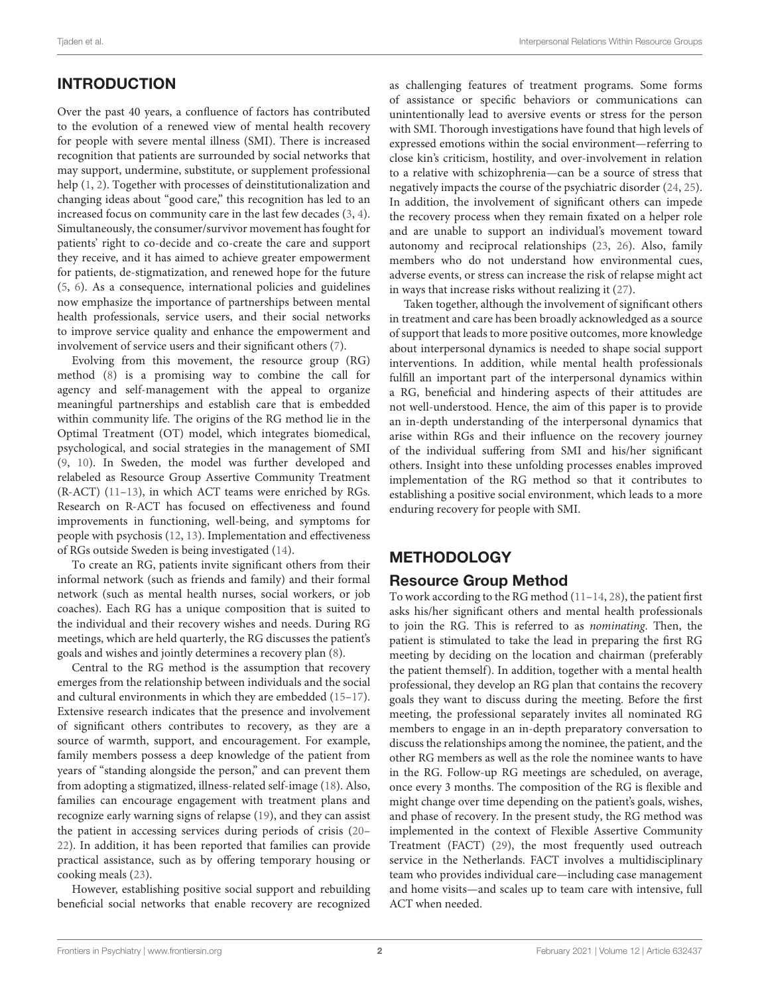# INTRODUCTION

Over the past 40 years, a confluence of factors has contributed to the evolution of a renewed view of mental health recovery for people with severe mental illness (SMI). There is increased recognition that patients are surrounded by social networks that may support, undermine, substitute, or supplement professional help [\(1,](#page-11-0) [2\)](#page-11-1). Together with processes of deinstitutionalization and changing ideas about "good care," this recognition has led to an increased focus on community care in the last few decades [\(3,](#page-11-2) [4\)](#page-11-3). Simultaneously, the consumer/survivor movement has fought for patients' right to co-decide and co-create the care and support they receive, and it has aimed to achieve greater empowerment for patients, de-stigmatization, and renewed hope for the future [\(5,](#page-11-4) [6\)](#page-11-5). As a consequence, international policies and guidelines now emphasize the importance of partnerships between mental health professionals, service users, and their social networks to improve service quality and enhance the empowerment and involvement of service users and their significant others [\(7\)](#page-11-6).

Evolving from this movement, the resource group (RG) method [\(8\)](#page-11-7) is a promising way to combine the call for agency and self-management with the appeal to organize meaningful partnerships and establish care that is embedded within community life. The origins of the RG method lie in the Optimal Treatment (OT) model, which integrates biomedical, psychological, and social strategies in the management of SMI [\(9,](#page-11-8) [10\)](#page-11-9). In Sweden, the model was further developed and relabeled as Resource Group Assertive Community Treatment (R-ACT) [\(11](#page-11-10)[–13\)](#page-11-11), in which ACT teams were enriched by RGs. Research on R-ACT has focused on effectiveness and found improvements in functioning, well-being, and symptoms for people with psychosis [\(12,](#page-11-12) [13\)](#page-11-11). Implementation and effectiveness of RGs outside Sweden is being investigated [\(14\)](#page-11-13).

To create an RG, patients invite significant others from their informal network (such as friends and family) and their formal network (such as mental health nurses, social workers, or job coaches). Each RG has a unique composition that is suited to the individual and their recovery wishes and needs. During RG meetings, which are held quarterly, the RG discusses the patient's goals and wishes and jointly determines a recovery plan [\(8\)](#page-11-7).

Central to the RG method is the assumption that recovery emerges from the relationship between individuals and the social and cultural environments in which they are embedded [\(15–](#page-11-14)[17\)](#page-11-15). Extensive research indicates that the presence and involvement of significant others contributes to recovery, as they are a source of warmth, support, and encouragement. For example, family members possess a deep knowledge of the patient from years of "standing alongside the person," and can prevent them from adopting a stigmatized, illness-related self-image [\(18\)](#page-11-16). Also, families can encourage engagement with treatment plans and recognize early warning signs of relapse [\(19\)](#page-11-17), and they can assist the patient in accessing services during periods of crisis [\(20–](#page-11-18) [22\)](#page-11-19). In addition, it has been reported that families can provide practical assistance, such as by offering temporary housing or cooking meals [\(23\)](#page-11-20).

However, establishing positive social support and rebuilding beneficial social networks that enable recovery are recognized as challenging features of treatment programs. Some forms of assistance or specific behaviors or communications can unintentionally lead to aversive events or stress for the person with SMI. Thorough investigations have found that high levels of expressed emotions within the social environment—referring to close kin's criticism, hostility, and over-involvement in relation to a relative with schizophrenia—can be a source of stress that negatively impacts the course of the psychiatric disorder [\(24,](#page-11-21) [25\)](#page-11-22). In addition, the involvement of significant others can impede the recovery process when they remain fixated on a helper role and are unable to support an individual's movement toward autonomy and reciprocal relationships [\(23,](#page-11-20) [26\)](#page-11-23). Also, family members who do not understand how environmental cues, adverse events, or stress can increase the risk of relapse might act in ways that increase risks without realizing it [\(27\)](#page-11-24).

Taken together, although the involvement of significant others in treatment and care has been broadly acknowledged as a source of support that leads to more positive outcomes, more knowledge about interpersonal dynamics is needed to shape social support interventions. In addition, while mental health professionals fulfill an important part of the interpersonal dynamics within a RG, beneficial and hindering aspects of their attitudes are not well-understood. Hence, the aim of this paper is to provide an in-depth understanding of the interpersonal dynamics that arise within RGs and their influence on the recovery journey of the individual suffering from SMI and his/her significant others. Insight into these unfolding processes enables improved implementation of the RG method so that it contributes to establishing a positive social environment, which leads to a more enduring recovery for people with SMI.

# METHODOLOGY

# Resource Group Method

To work according to the RG method [\(11](#page-11-10)[–14,](#page-11-13) [28\)](#page-11-25), the patient first asks his/her significant others and mental health professionals to join the RG. This is referred to as nominating. Then, the patient is stimulated to take the lead in preparing the first RG meeting by deciding on the location and chairman (preferably the patient themself). In addition, together with a mental health professional, they develop an RG plan that contains the recovery goals they want to discuss during the meeting. Before the first meeting, the professional separately invites all nominated RG members to engage in an in-depth preparatory conversation to discuss the relationships among the nominee, the patient, and the other RG members as well as the role the nominee wants to have in the RG. Follow-up RG meetings are scheduled, on average, once every 3 months. The composition of the RG is flexible and might change over time depending on the patient's goals, wishes, and phase of recovery. In the present study, the RG method was implemented in the context of Flexible Assertive Community Treatment (FACT) [\(29\)](#page-11-26), the most frequently used outreach service in the Netherlands. FACT involves a multidisciplinary team who provides individual care—including case management and home visits—and scales up to team care with intensive, full ACT when needed.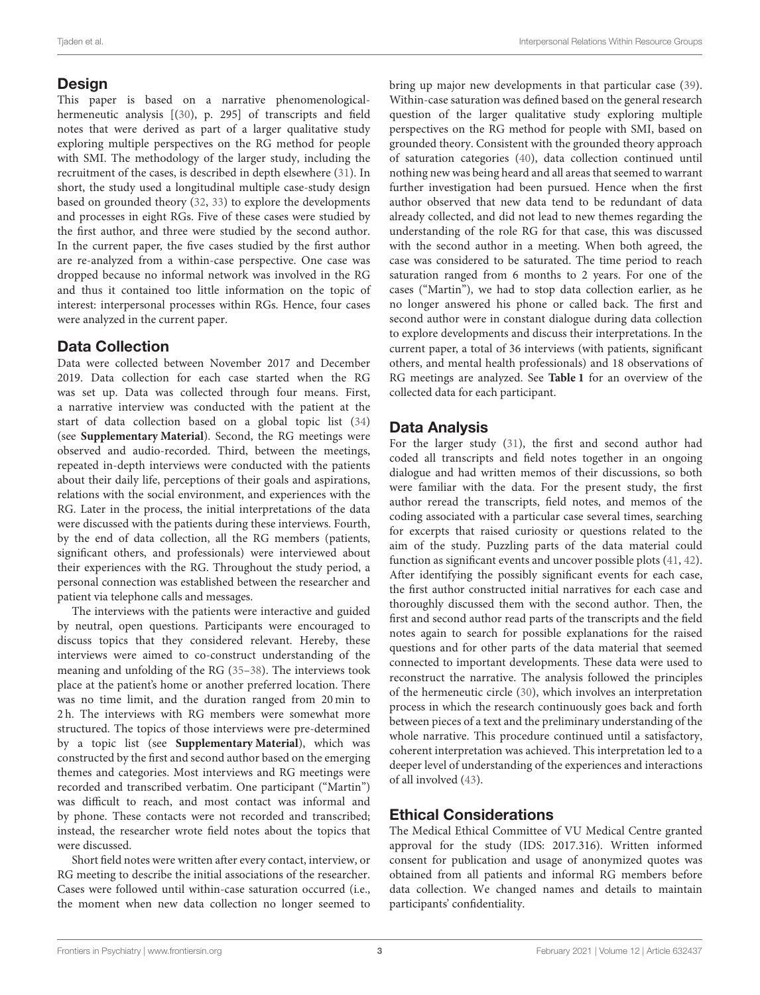## **Design**

This paper is based on a narrative phenomenologicalhermeneutic analysis [[\(30\)](#page-11-27), p. 295] of transcripts and field notes that were derived as part of a larger qualitative study exploring multiple perspectives on the RG method for people with SMI. The methodology of the larger study, including the recruitment of the cases, is described in depth elsewhere [\(31\)](#page-11-28). In short, the study used a longitudinal multiple case-study design based on grounded theory [\(32,](#page-11-29) [33\)](#page-11-30) to explore the developments and processes in eight RGs. Five of these cases were studied by the first author, and three were studied by the second author. In the current paper, the five cases studied by the first author are re-analyzed from a within-case perspective. One case was dropped because no informal network was involved in the RG and thus it contained too little information on the topic of interest: interpersonal processes within RGs. Hence, four cases were analyzed in the current paper.

# Data Collection

Data were collected between November 2017 and December 2019. Data collection for each case started when the RG was set up. Data was collected through four means. First, a narrative interview was conducted with the patient at the start of data collection based on a global topic list [\(34\)](#page-11-31) (see **[Supplementary Material](#page-11-32)**). Second, the RG meetings were observed and audio-recorded. Third, between the meetings, repeated in-depth interviews were conducted with the patients about their daily life, perceptions of their goals and aspirations, relations with the social environment, and experiences with the RG. Later in the process, the initial interpretations of the data were discussed with the patients during these interviews. Fourth, by the end of data collection, all the RG members (patients, significant others, and professionals) were interviewed about their experiences with the RG. Throughout the study period, a personal connection was established between the researcher and patient via telephone calls and messages.

The interviews with the patients were interactive and guided by neutral, open questions. Participants were encouraged to discuss topics that they considered relevant. Hereby, these interviews were aimed to co-construct understanding of the meaning and unfolding of the RG [\(35–](#page-11-33)[38\)](#page-11-34). The interviews took place at the patient's home or another preferred location. There was no time limit, and the duration ranged from 20 min to 2 h. The interviews with RG members were somewhat more structured. The topics of those interviews were pre-determined by a topic list (see **[Supplementary Material](#page-11-32)**), which was constructed by the first and second author based on the emerging themes and categories. Most interviews and RG meetings were recorded and transcribed verbatim. One participant ("Martin") was difficult to reach, and most contact was informal and by phone. These contacts were not recorded and transcribed; instead, the researcher wrote field notes about the topics that were discussed.

Short field notes were written after every contact, interview, or RG meeting to describe the initial associations of the researcher. Cases were followed until within-case saturation occurred (i.e., the moment when new data collection no longer seemed to bring up major new developments in that particular case [\(39\)](#page-12-0). Within-case saturation was defined based on the general research question of the larger qualitative study exploring multiple perspectives on the RG method for people with SMI, based on grounded theory. Consistent with the grounded theory approach of saturation categories [\(40\)](#page-12-1), data collection continued until nothing new was being heard and all areas that seemed to warrant further investigation had been pursued. Hence when the first author observed that new data tend to be redundant of data already collected, and did not lead to new themes regarding the understanding of the role RG for that case, this was discussed with the second author in a meeting. When both agreed, the case was considered to be saturated. The time period to reach saturation ranged from 6 months to 2 years. For one of the cases ("Martin"), we had to stop data collection earlier, as he no longer answered his phone or called back. The first and second author were in constant dialogue during data collection to explore developments and discuss their interpretations. In the current paper, a total of 36 interviews (with patients, significant others, and mental health professionals) and 18 observations of RG meetings are analyzed. See **[Table 1](#page-3-0)** for an overview of the collected data for each participant.

# Data Analysis

For the larger study [\(31\)](#page-11-28), the first and second author had coded all transcripts and field notes together in an ongoing dialogue and had written memos of their discussions, so both were familiar with the data. For the present study, the first author reread the transcripts, field notes, and memos of the coding associated with a particular case several times, searching for excerpts that raised curiosity or questions related to the aim of the study. Puzzling parts of the data material could function as significant events and uncover possible plots [\(41,](#page-12-2) [42\)](#page-12-3). After identifying the possibly significant events for each case, the first author constructed initial narratives for each case and thoroughly discussed them with the second author. Then, the first and second author read parts of the transcripts and the field notes again to search for possible explanations for the raised questions and for other parts of the data material that seemed connected to important developments. These data were used to reconstruct the narrative. The analysis followed the principles of the hermeneutic circle [\(30\)](#page-11-27), which involves an interpretation process in which the research continuously goes back and forth between pieces of a text and the preliminary understanding of the whole narrative. This procedure continued until a satisfactory, coherent interpretation was achieved. This interpretation led to a deeper level of understanding of the experiences and interactions of all involved [\(43\)](#page-12-4).

# Ethical Considerations

The Medical Ethical Committee of VU Medical Centre granted approval for the study (IDS: 2017.316). Written informed consent for publication and usage of anonymized quotes was obtained from all patients and informal RG members before data collection. We changed names and details to maintain participants' confidentiality.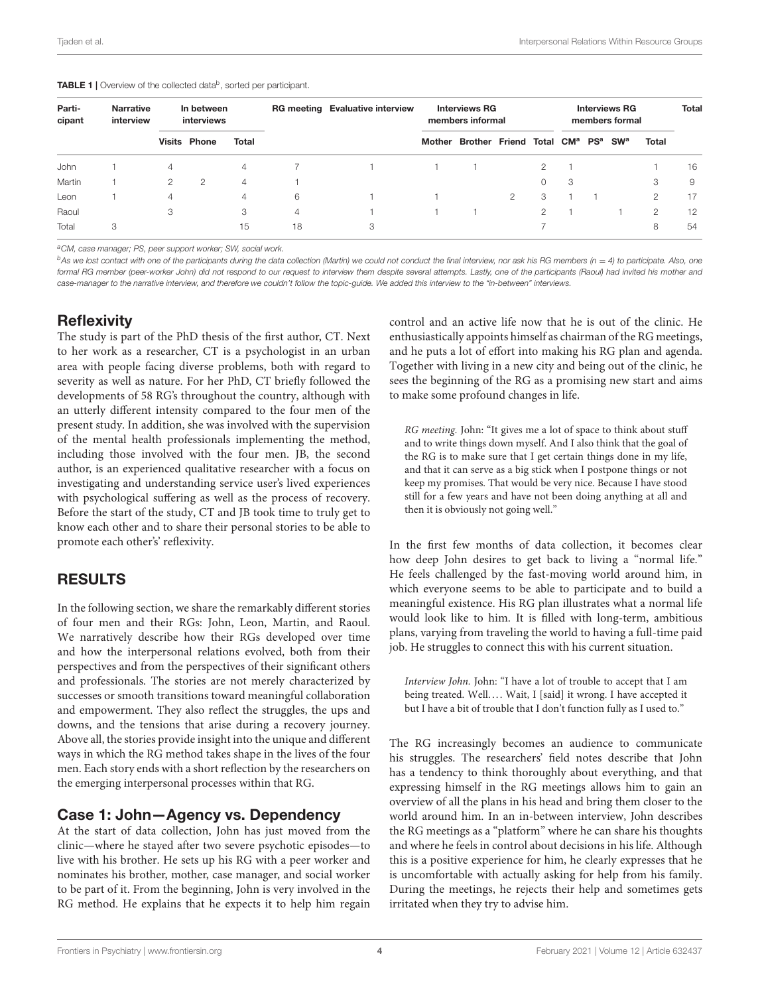<span id="page-3-0"></span>

|  |  |  |  |  |  |  | <b>TABLE 1</b>   Overview of the collected data <sup>b</sup> , sorted per participant. |
|--|--|--|--|--|--|--|----------------------------------------------------------------------------------------|
|--|--|--|--|--|--|--|----------------------------------------------------------------------------------------|

| Parti-<br>cipant | <b>Narrative</b><br>interview | In between<br>interviews |                     |       | <b>RG meeting Evaluative interview</b> | <b>Interviews RG</b><br>members informal |        |                                                      |   | <b>Interviews RG</b><br>members formal |    |  |                       | <b>Total</b> |    |
|------------------|-------------------------------|--------------------------|---------------------|-------|----------------------------------------|------------------------------------------|--------|------------------------------------------------------|---|----------------------------------------|----|--|-----------------------|--------------|----|
|                  |                               |                          | <b>Visits Phone</b> | Total |                                        |                                          | Mother | Brother Friend Total CM <sup>a</sup> PS <sup>a</sup> |   |                                        |    |  | <b>SW<sup>a</sup></b> | Total        |    |
| John             |                               | 4                        |                     | 4     |                                        |                                          |        |                                                      |   | 2                                      |    |  |                       |              | 16 |
| Martin           |                               | 2                        | 2                   | 4     |                                        |                                          |        |                                                      |   | 0                                      | -3 |  |                       | З            | 9  |
| Leon             |                               | 4                        |                     | 4     | 6                                      |                                          |        |                                                      | 2 | 3                                      |    |  |                       | 2            | 17 |
| Raoul            |                               | 3                        |                     | 3     | 4                                      |                                          |        |                                                      |   | 2                                      |    |  |                       | 2            | 12 |
| Total            | 3                             |                          |                     | 15    | 18                                     | 3                                        |        |                                                      |   |                                        |    |  |                       | 8            | 54 |

*<sup>a</sup>CM, case manager; PS, peer support worker; SW, social work.*

*b*<sub>As</sub> we lost contact with one of the participants during the data collection (Martin) we could not conduct the final interview, nor ask his RG members (n = 4) to participate. Also, one *formal RG member (peer-worker John) did not respond to our request to interview them despite several attempts. Lastly, one of the participants (Raoul) had invited his mother and case-manager to the narrative interview, and therefore we couldn't follow the topic-guide. We added this interview to the "in-between" interviews.*

## **Reflexivity**

The study is part of the PhD thesis of the first author, CT. Next to her work as a researcher, CT is a psychologist in an urban area with people facing diverse problems, both with regard to severity as well as nature. For her PhD, CT briefly followed the developments of 58 RG's throughout the country, although with an utterly different intensity compared to the four men of the present study. In addition, she was involved with the supervision of the mental health professionals implementing the method, including those involved with the four men. JB, the second author, is an experienced qualitative researcher with a focus on investigating and understanding service user's lived experiences with psychological suffering as well as the process of recovery. Before the start of the study, CT and JB took time to truly get to know each other and to share their personal stories to be able to promote each other's' reflexivity.

# RESULTS

In the following section, we share the remarkably different stories of four men and their RGs: John, Leon, Martin, and Raoul. We narratively describe how their RGs developed over time and how the interpersonal relations evolved, both from their perspectives and from the perspectives of their significant others and professionals. The stories are not merely characterized by successes or smooth transitions toward meaningful collaboration and empowerment. They also reflect the struggles, the ups and downs, and the tensions that arise during a recovery journey. Above all, the stories provide insight into the unique and different ways in which the RG method takes shape in the lives of the four men. Each story ends with a short reflection by the researchers on the emerging interpersonal processes within that RG.

### Case 1: John—Agency vs. Dependency

At the start of data collection, John has just moved from the clinic—where he stayed after two severe psychotic episodes—to live with his brother. He sets up his RG with a peer worker and nominates his brother, mother, case manager, and social worker to be part of it. From the beginning, John is very involved in the RG method. He explains that he expects it to help him regain control and an active life now that he is out of the clinic. He enthusiastically appoints himself as chairman of the RG meetings, and he puts a lot of effort into making his RG plan and agenda. Together with living in a new city and being out of the clinic, he sees the beginning of the RG as a promising new start and aims to make some profound changes in life.

RG meeting. John: "It gives me a lot of space to think about stuff and to write things down myself. And I also think that the goal of the RG is to make sure that I get certain things done in my life, and that it can serve as a big stick when I postpone things or not keep my promises. That would be very nice. Because I have stood still for a few years and have not been doing anything at all and then it is obviously not going well."

In the first few months of data collection, it becomes clear how deep John desires to get back to living a "normal life." He feels challenged by the fast-moving world around him, in which everyone seems to be able to participate and to build a meaningful existence. His RG plan illustrates what a normal life would look like to him. It is filled with long-term, ambitious plans, varying from traveling the world to having a full-time paid job. He struggles to connect this with his current situation.

Interview John. John: "I have a lot of trouble to accept that I am being treated. Well.... Wait, I [said] it wrong. I have accepted it but I have a bit of trouble that I don't function fully as I used to."

The RG increasingly becomes an audience to communicate his struggles. The researchers' field notes describe that John has a tendency to think thoroughly about everything, and that expressing himself in the RG meetings allows him to gain an overview of all the plans in his head and bring them closer to the world around him. In an in-between interview, John describes the RG meetings as a "platform" where he can share his thoughts and where he feels in control about decisions in his life. Although this is a positive experience for him, he clearly expresses that he is uncomfortable with actually asking for help from his family. During the meetings, he rejects their help and sometimes gets irritated when they try to advise him.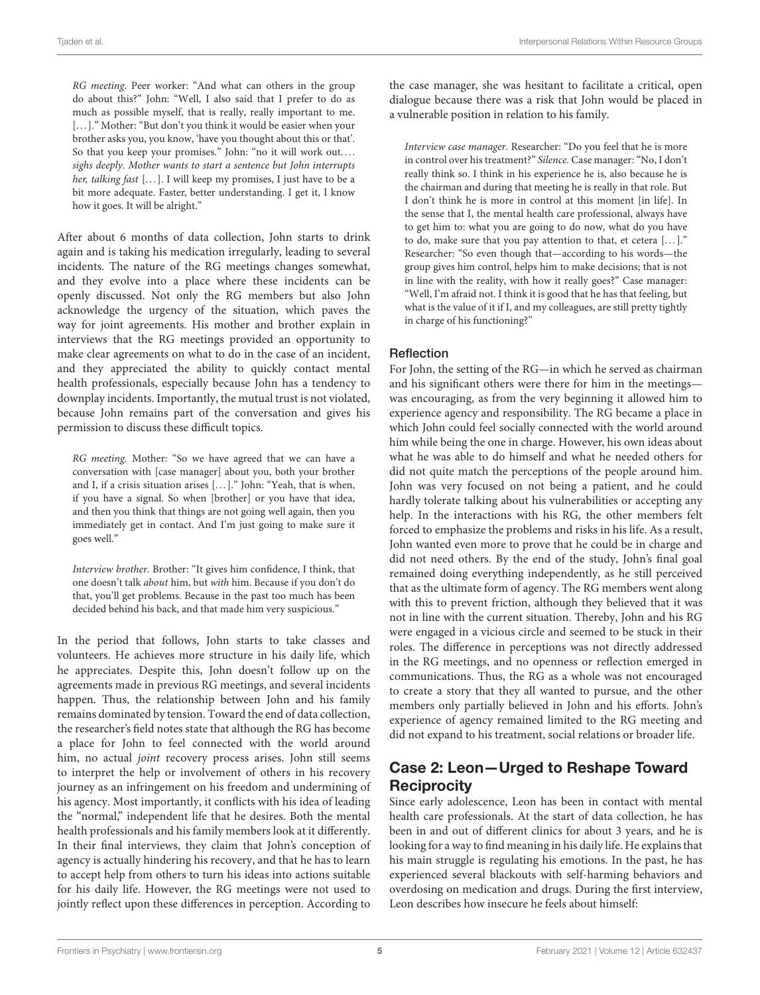RG meeting. Peer worker: "And what can others in the group do about this?" John: "Well, I also said that I prefer to do as much as possible myself, that is really, really important to me. [...]." Mother: "But don't you think it would be easier when your brother asks you, you know, 'have you thought about this or that'. So that you keep your promises." John: "no it will work out.... sighs deeply. Mother wants to start a sentence but John interrupts her, talking fast [...]. I will keep my promises, I just have to be a bit more adequate. Faster, better understanding. I get it, I know how it goes. It will be alright."

After about 6 months of data collection, John starts to drink again and is taking his medication irregularly, leading to several incidents. The nature of the RG meetings changes somewhat, and they evolve into a place where these incidents can be openly discussed. Not only the RG members but also John acknowledge the urgency of the situation, which paves the way for joint agreements. His mother and brother explain in interviews that the RG meetings provided an opportunity to make clear agreements on what to do in the case of an incident, and they appreciated the ability to quickly contact mental health professionals, especially because John has a tendency to downplay incidents. Importantly, the mutual trust is not violated, because John remains part of the conversation and gives his permission to discuss these difficult topics.

RG meeting. Mother: "So we have agreed that we can have a conversation with [case manager] about you, both your brother and I, if a crisis situation arises [...]." John: "Yeah, that is when, if you have a signal. So when [brother] or you have that idea, and then you think that things are not going well again, then you immediately get in contact. And I'm just going to make sure it goes well."

Interview brother. Brother: "It gives him confidence, I think, that one doesn't talk about him, but with him. Because if you don't do that, you'll get problems. Because in the past too much has been decided behind his back, and that made him very suspicious."

In the period that follows, John starts to take classes and volunteers. He achieves more structure in his daily life, which he appreciates. Despite this, John doesn't follow up on the agreements made in previous RG meetings, and several incidents happen. Thus, the relationship between John and his family remains dominated by tension. Toward the end of data collection, the researcher's field notes state that although the RG has become a place for John to feel connected with the world around him, no actual joint recovery process arises. John still seems to interpret the help or involvement of others in his recovery journey as an infringement on his freedom and undermining of his agency. Most importantly, it conflicts with his idea of leading the "normal," independent life that he desires. Both the mental health professionals and his family members look at it differently. In their final interviews, they claim that John's conception of agency is actually hindering his recovery, and that he has to learn to accept help from others to turn his ideas into actions suitable for his daily life. However, the RG meetings were not used to jointly reflect upon these differences in perception. According to the case manager, she was hesitant to facilitate a critical, open dialogue because there was a risk that John would be placed in a vulnerable position in relation to his family.

Interview case manager. Researcher: "Do you feel that he is more in control over his treatment?" Silence. Case manager: "No, I don't really think so. I think in his experience he is, also because he is the chairman and during that meeting he is really in that role. But I don't think he is more in control at this moment [in life]. In the sense that I, the mental health care professional, always have to get him to: what you are going to do now, what do you have to do, make sure that you pay attention to that, et cetera  $[...]$ ." Researcher: "So even though that—according to his words—the group gives him control, helps him to make decisions; that is not in line with the reality, with how it really goes?" Case manager: "Well, I'm afraid not. I think it is good that he has that feeling, but what is the value of it if I, and my colleagues, are still pretty tightly in charge of his functioning?"

#### **Reflection**

For John, the setting of the RG—in which he served as chairman and his significant others were there for him in the meetings was encouraging, as from the very beginning it allowed him to experience agency and responsibility. The RG became a place in which John could feel socially connected with the world around him while being the one in charge. However, his own ideas about what he was able to do himself and what he needed others for did not quite match the perceptions of the people around him. John was very focused on not being a patient, and he could hardly tolerate talking about his vulnerabilities or accepting any help. In the interactions with his RG, the other members felt forced to emphasize the problems and risks in his life. As a result, John wanted even more to prove that he could be in charge and did not need others. By the end of the study, John's final goal remained doing everything independently, as he still perceived that as the ultimate form of agency. The RG members went along with this to prevent friction, although they believed that it was not in line with the current situation. Thereby, John and his RG were engaged in a vicious circle and seemed to be stuck in their roles. The difference in perceptions was not directly addressed in the RG meetings, and no openness or reflection emerged in communications. Thus, the RG as a whole was not encouraged to create a story that they all wanted to pursue, and the other members only partially believed in John and his efforts. John's experience of agency remained limited to the RG meeting and did not expand to his treatment, social relations or broader life.

# Case 2: Leon—Urged to Reshape Toward **Reciprocity**

Since early adolescence, Leon has been in contact with mental health care professionals. At the start of data collection, he has been in and out of different clinics for about 3 years, and he is looking for a way to find meaning in his daily life. He explains that his main struggle is regulating his emotions. In the past, he has experienced several blackouts with self-harming behaviors and overdosing on medication and drugs. During the first interview, Leon describes how insecure he feels about himself: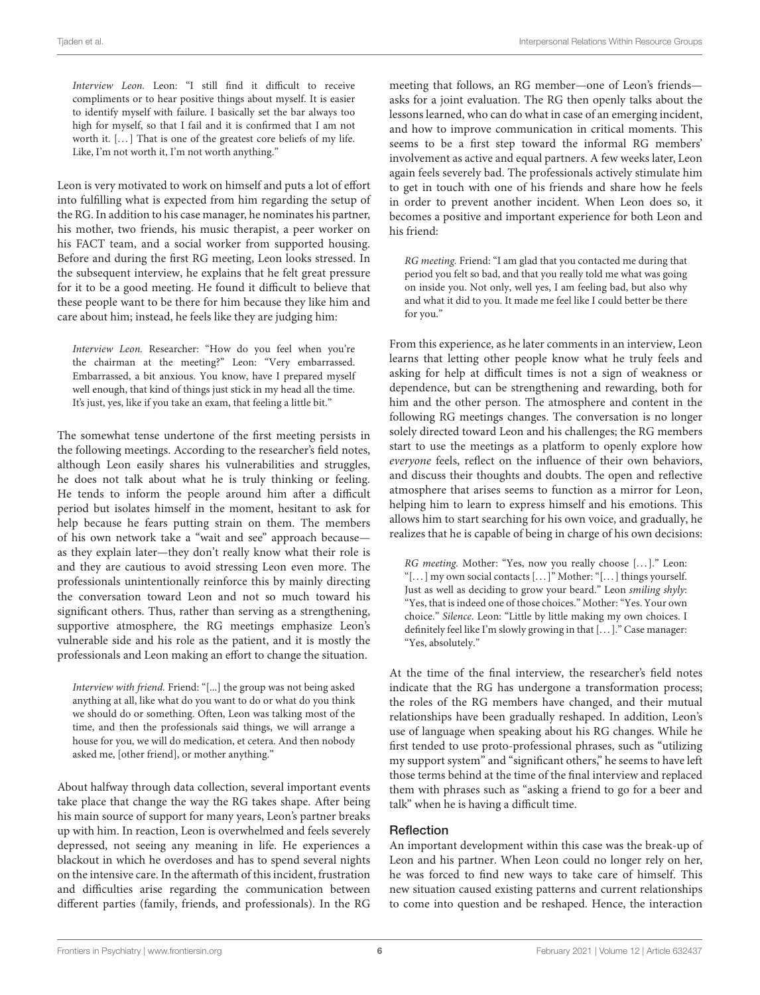Interview Leon. Leon: "I still find it difficult to receive compliments or to hear positive things about myself. It is easier to identify myself with failure. I basically set the bar always too high for myself, so that I fail and it is confirmed that I am not worth it. [...] That is one of the greatest core beliefs of my life. Like, I'm not worth it, I'm not worth anything."

Leon is very motivated to work on himself and puts a lot of effort into fulfilling what is expected from him regarding the setup of the RG. In addition to his case manager, he nominates his partner, his mother, two friends, his music therapist, a peer worker on his FACT team, and a social worker from supported housing. Before and during the first RG meeting, Leon looks stressed. In the subsequent interview, he explains that he felt great pressure for it to be a good meeting. He found it difficult to believe that these people want to be there for him because they like him and care about him; instead, he feels like they are judging him:

Interview Leon. Researcher: "How do you feel when you're the chairman at the meeting?" Leon: "Very embarrassed. Embarrassed, a bit anxious. You know, have I prepared myself well enough, that kind of things just stick in my head all the time. It's just, yes, like if you take an exam, that feeling a little bit."

The somewhat tense undertone of the first meeting persists in the following meetings. According to the researcher's field notes, although Leon easily shares his vulnerabilities and struggles, he does not talk about what he is truly thinking or feeling. He tends to inform the people around him after a difficult period but isolates himself in the moment, hesitant to ask for help because he fears putting strain on them. The members of his own network take a "wait and see" approach because as they explain later—they don't really know what their role is and they are cautious to avoid stressing Leon even more. The professionals unintentionally reinforce this by mainly directing the conversation toward Leon and not so much toward his significant others. Thus, rather than serving as a strengthening, supportive atmosphere, the RG meetings emphasize Leon's vulnerable side and his role as the patient, and it is mostly the professionals and Leon making an effort to change the situation.

Interview with friend. Friend: "[...] the group was not being asked anything at all, like what do you want to do or what do you think we should do or something. Often, Leon was talking most of the time, and then the professionals said things, we will arrange a house for you, we will do medication, et cetera. And then nobody asked me, [other friend], or mother anything."

About halfway through data collection, several important events take place that change the way the RG takes shape. After being his main source of support for many years, Leon's partner breaks up with him. In reaction, Leon is overwhelmed and feels severely depressed, not seeing any meaning in life. He experiences a blackout in which he overdoses and has to spend several nights on the intensive care. In the aftermath of this incident, frustration and difficulties arise regarding the communication between different parties (family, friends, and professionals). In the RG

meeting that follows, an RG member—one of Leon's friends asks for a joint evaluation. The RG then openly talks about the lessons learned, who can do what in case of an emerging incident, and how to improve communication in critical moments. This seems to be a first step toward the informal RG members' involvement as active and equal partners. A few weeks later, Leon again feels severely bad. The professionals actively stimulate him to get in touch with one of his friends and share how he feels in order to prevent another incident. When Leon does so, it becomes a positive and important experience for both Leon and his friend:

RG meeting. Friend: "I am glad that you contacted me during that period you felt so bad, and that you really told me what was going on inside you. Not only, well yes, I am feeling bad, but also why and what it did to you. It made me feel like I could better be there for you."

From this experience, as he later comments in an interview, Leon learns that letting other people know what he truly feels and asking for help at difficult times is not a sign of weakness or dependence, but can be strengthening and rewarding, both for him and the other person. The atmosphere and content in the following RG meetings changes. The conversation is no longer solely directed toward Leon and his challenges; the RG members start to use the meetings as a platform to openly explore how everyone feels, reflect on the influence of their own behaviors, and discuss their thoughts and doubts. The open and reflective atmosphere that arises seems to function as a mirror for Leon, helping him to learn to express himself and his emotions. This allows him to start searching for his own voice, and gradually, he realizes that he is capable of being in charge of his own decisions:

RG meeting. Mother: "Yes, now you really choose [...]." Leon: "[. . . ] my own social contacts [. . . ]" Mother: "[. . . ] things yourself. Just as well as deciding to grow your beard." Leon smiling shyly: "Yes, that is indeed one of those choices." Mother: "Yes. Your own choice." Silence. Leon: "Little by little making my own choices. I definitely feel like I'm slowly growing in that [...]." Case manager: "Yes, absolutely."

At the time of the final interview, the researcher's field notes indicate that the RG has undergone a transformation process; the roles of the RG members have changed, and their mutual relationships have been gradually reshaped. In addition, Leon's use of language when speaking about his RG changes. While he first tended to use proto-professional phrases, such as "utilizing my support system" and "significant others," he seems to have left those terms behind at the time of the final interview and replaced them with phrases such as "asking a friend to go for a beer and talk" when he is having a difficult time.

#### **Reflection**

An important development within this case was the break-up of Leon and his partner. When Leon could no longer rely on her, he was forced to find new ways to take care of himself. This new situation caused existing patterns and current relationships to come into question and be reshaped. Hence, the interaction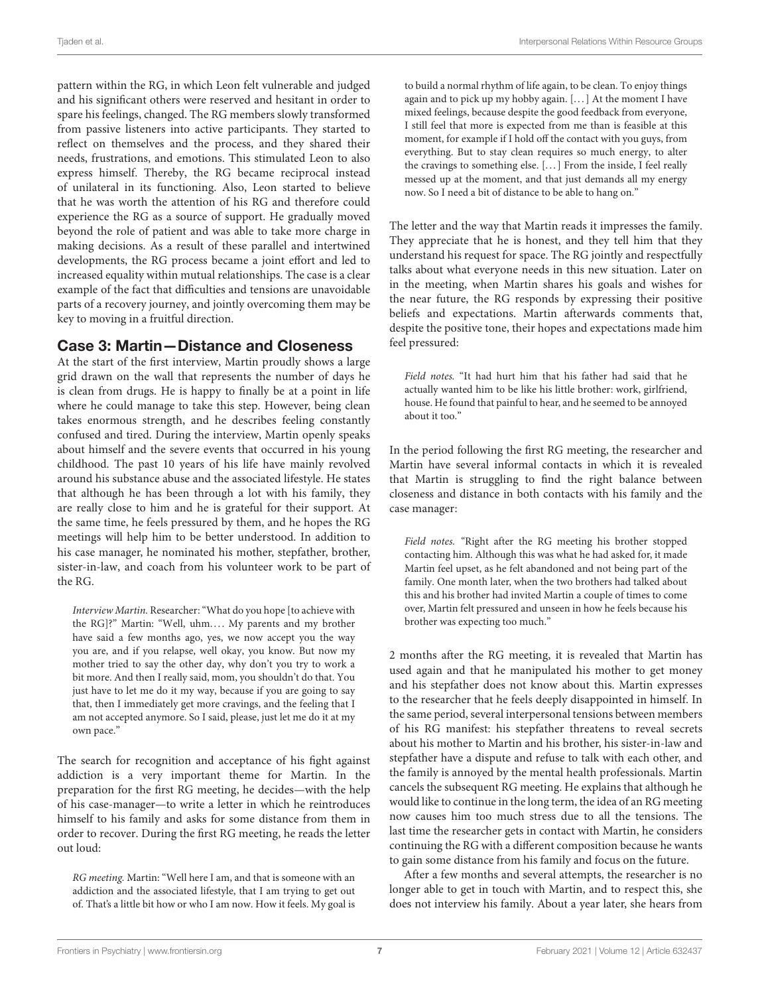pattern within the RG, in which Leon felt vulnerable and judged and his significant others were reserved and hesitant in order to spare his feelings, changed. The RG members slowly transformed from passive listeners into active participants. They started to reflect on themselves and the process, and they shared their needs, frustrations, and emotions. This stimulated Leon to also express himself. Thereby, the RG became reciprocal instead of unilateral in its functioning. Also, Leon started to believe that he was worth the attention of his RG and therefore could experience the RG as a source of support. He gradually moved beyond the role of patient and was able to take more charge in making decisions. As a result of these parallel and intertwined developments, the RG process became a joint effort and led to increased equality within mutual relationships. The case is a clear example of the fact that difficulties and tensions are unavoidable parts of a recovery journey, and jointly overcoming them may be key to moving in a fruitful direction.

## Case 3: Martin—Distance and Closeness

At the start of the first interview, Martin proudly shows a large grid drawn on the wall that represents the number of days he is clean from drugs. He is happy to finally be at a point in life where he could manage to take this step. However, being clean takes enormous strength, and he describes feeling constantly confused and tired. During the interview, Martin openly speaks about himself and the severe events that occurred in his young childhood. The past 10 years of his life have mainly revolved around his substance abuse and the associated lifestyle. He states that although he has been through a lot with his family, they are really close to him and he is grateful for their support. At the same time, he feels pressured by them, and he hopes the RG meetings will help him to be better understood. In addition to his case manager, he nominated his mother, stepfather, brother, sister-in-law, and coach from his volunteer work to be part of the RG.

Interview Martin. Researcher: "What do you hope [to achieve with the RG]?" Martin: "Well, uhm.... My parents and my brother have said a few months ago, yes, we now accept you the way you are, and if you relapse, well okay, you know. But now my mother tried to say the other day, why don't you try to work a bit more. And then I really said, mom, you shouldn't do that. You just have to let me do it my way, because if you are going to say that, then I immediately get more cravings, and the feeling that I am not accepted anymore. So I said, please, just let me do it at my own pace."

The search for recognition and acceptance of his fight against addiction is a very important theme for Martin. In the preparation for the first RG meeting, he decides—with the help of his case-manager—to write a letter in which he reintroduces himself to his family and asks for some distance from them in order to recover. During the first RG meeting, he reads the letter out loud:

RG meeting. Martin: "Well here I am, and that is someone with an addiction and the associated lifestyle, that I am trying to get out of. That's a little bit how or who I am now. How it feels. My goal is to build a normal rhythm of life again, to be clean. To enjoy things again and to pick up my hobby again. [. . . ] At the moment I have mixed feelings, because despite the good feedback from everyone, I still feel that more is expected from me than is feasible at this moment, for example if I hold off the contact with you guys, from everything. But to stay clean requires so much energy, to alter the cravings to something else. [. . . ] From the inside, I feel really messed up at the moment, and that just demands all my energy now. So I need a bit of distance to be able to hang on."

The letter and the way that Martin reads it impresses the family. They appreciate that he is honest, and they tell him that they understand his request for space. The RG jointly and respectfully talks about what everyone needs in this new situation. Later on in the meeting, when Martin shares his goals and wishes for the near future, the RG responds by expressing their positive beliefs and expectations. Martin afterwards comments that, despite the positive tone, their hopes and expectations made him feel pressured:

Field notes. "It had hurt him that his father had said that he actually wanted him to be like his little brother: work, girlfriend, house. He found that painful to hear, and he seemed to be annoyed about it too."

In the period following the first RG meeting, the researcher and Martin have several informal contacts in which it is revealed that Martin is struggling to find the right balance between closeness and distance in both contacts with his family and the case manager:

Field notes. "Right after the RG meeting his brother stopped contacting him. Although this was what he had asked for, it made Martin feel upset, as he felt abandoned and not being part of the family. One month later, when the two brothers had talked about this and his brother had invited Martin a couple of times to come over, Martin felt pressured and unseen in how he feels because his brother was expecting too much."

2 months after the RG meeting, it is revealed that Martin has used again and that he manipulated his mother to get money and his stepfather does not know about this. Martin expresses to the researcher that he feels deeply disappointed in himself. In the same period, several interpersonal tensions between members of his RG manifest: his stepfather threatens to reveal secrets about his mother to Martin and his brother, his sister-in-law and stepfather have a dispute and refuse to talk with each other, and the family is annoyed by the mental health professionals. Martin cancels the subsequent RG meeting. He explains that although he would like to continue in the long term, the idea of an RG meeting now causes him too much stress due to all the tensions. The last time the researcher gets in contact with Martin, he considers continuing the RG with a different composition because he wants to gain some distance from his family and focus on the future.

After a few months and several attempts, the researcher is no longer able to get in touch with Martin, and to respect this, she does not interview his family. About a year later, she hears from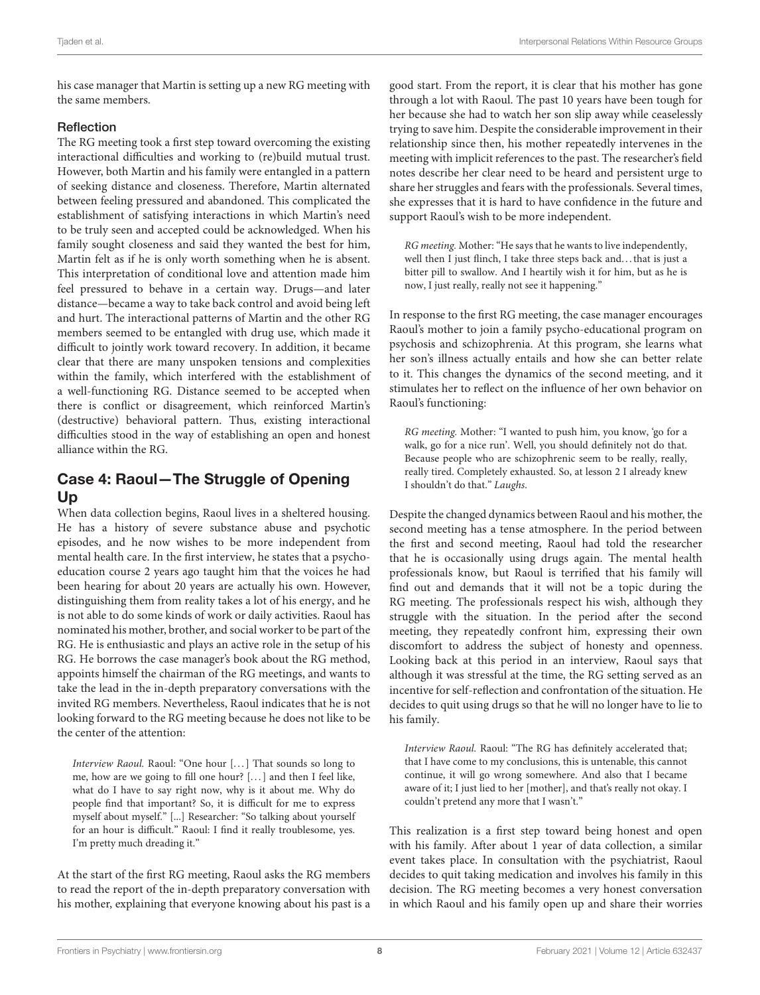his case manager that Martin is setting up a new RG meeting with the same members.

### Reflection

The RG meeting took a first step toward overcoming the existing interactional difficulties and working to (re)build mutual trust. However, both Martin and his family were entangled in a pattern of seeking distance and closeness. Therefore, Martin alternated between feeling pressured and abandoned. This complicated the establishment of satisfying interactions in which Martin's need to be truly seen and accepted could be acknowledged. When his family sought closeness and said they wanted the best for him, Martin felt as if he is only worth something when he is absent. This interpretation of conditional love and attention made him feel pressured to behave in a certain way. Drugs—and later distance—became a way to take back control and avoid being left and hurt. The interactional patterns of Martin and the other RG members seemed to be entangled with drug use, which made it difficult to jointly work toward recovery. In addition, it became clear that there are many unspoken tensions and complexities within the family, which interfered with the establishment of a well-functioning RG. Distance seemed to be accepted when there is conflict or disagreement, which reinforced Martin's (destructive) behavioral pattern. Thus, existing interactional difficulties stood in the way of establishing an open and honest alliance within the RG.

# Case 4: Raoul—The Struggle of Opening Up

When data collection begins, Raoul lives in a sheltered housing. He has a history of severe substance abuse and psychotic episodes, and he now wishes to be more independent from mental health care. In the first interview, he states that a psychoeducation course 2 years ago taught him that the voices he had been hearing for about 20 years are actually his own. However, distinguishing them from reality takes a lot of his energy, and he is not able to do some kinds of work or daily activities. Raoul has nominated his mother, brother, and social worker to be part of the RG. He is enthusiastic and plays an active role in the setup of his RG. He borrows the case manager's book about the RG method, appoints himself the chairman of the RG meetings, and wants to take the lead in the in-depth preparatory conversations with the invited RG members. Nevertheless, Raoul indicates that he is not looking forward to the RG meeting because he does not like to be the center of the attention:

Interview Raoul. Raoul: "One hour [...] That sounds so long to me, how are we going to fill one hour? [. . . ] and then I feel like, what do I have to say right now, why is it about me. Why do people find that important? So, it is difficult for me to express myself about myself." [...] Researcher: "So talking about yourself for an hour is difficult." Raoul: I find it really troublesome, yes. I'm pretty much dreading it."

At the start of the first RG meeting, Raoul asks the RG members to read the report of the in-depth preparatory conversation with his mother, explaining that everyone knowing about his past is a good start. From the report, it is clear that his mother has gone through a lot with Raoul. The past 10 years have been tough for her because she had to watch her son slip away while ceaselessly trying to save him. Despite the considerable improvement in their relationship since then, his mother repeatedly intervenes in the meeting with implicit references to the past. The researcher's field notes describe her clear need to be heard and persistent urge to share her struggles and fears with the professionals. Several times, she expresses that it is hard to have confidence in the future and support Raoul's wish to be more independent.

RG meeting. Mother: "He says that he wants to live independently, well then I just flinch, I take three steps back and. . . that is just a bitter pill to swallow. And I heartily wish it for him, but as he is now, I just really, really not see it happening."

In response to the first RG meeting, the case manager encourages Raoul's mother to join a family psycho-educational program on psychosis and schizophrenia. At this program, she learns what her son's illness actually entails and how she can better relate to it. This changes the dynamics of the second meeting, and it stimulates her to reflect on the influence of her own behavior on Raoul's functioning:

RG meeting. Mother: "I wanted to push him, you know, 'go for a walk, go for a nice run'. Well, you should definitely not do that. Because people who are schizophrenic seem to be really, really, really tired. Completely exhausted. So, at lesson 2 I already knew I shouldn't do that." Laughs.

Despite the changed dynamics between Raoul and his mother, the second meeting has a tense atmosphere. In the period between the first and second meeting, Raoul had told the researcher that he is occasionally using drugs again. The mental health professionals know, but Raoul is terrified that his family will find out and demands that it will not be a topic during the RG meeting. The professionals respect his wish, although they struggle with the situation. In the period after the second meeting, they repeatedly confront him, expressing their own discomfort to address the subject of honesty and openness. Looking back at this period in an interview, Raoul says that although it was stressful at the time, the RG setting served as an incentive for self-reflection and confrontation of the situation. He decides to quit using drugs so that he will no longer have to lie to his family.

Interview Raoul. Raoul: "The RG has definitely accelerated that; that I have come to my conclusions, this is untenable, this cannot continue, it will go wrong somewhere. And also that I became aware of it; I just lied to her [mother], and that's really not okay. I couldn't pretend any more that I wasn't."

This realization is a first step toward being honest and open with his family. After about 1 year of data collection, a similar event takes place. In consultation with the psychiatrist, Raoul decides to quit taking medication and involves his family in this decision. The RG meeting becomes a very honest conversation in which Raoul and his family open up and share their worries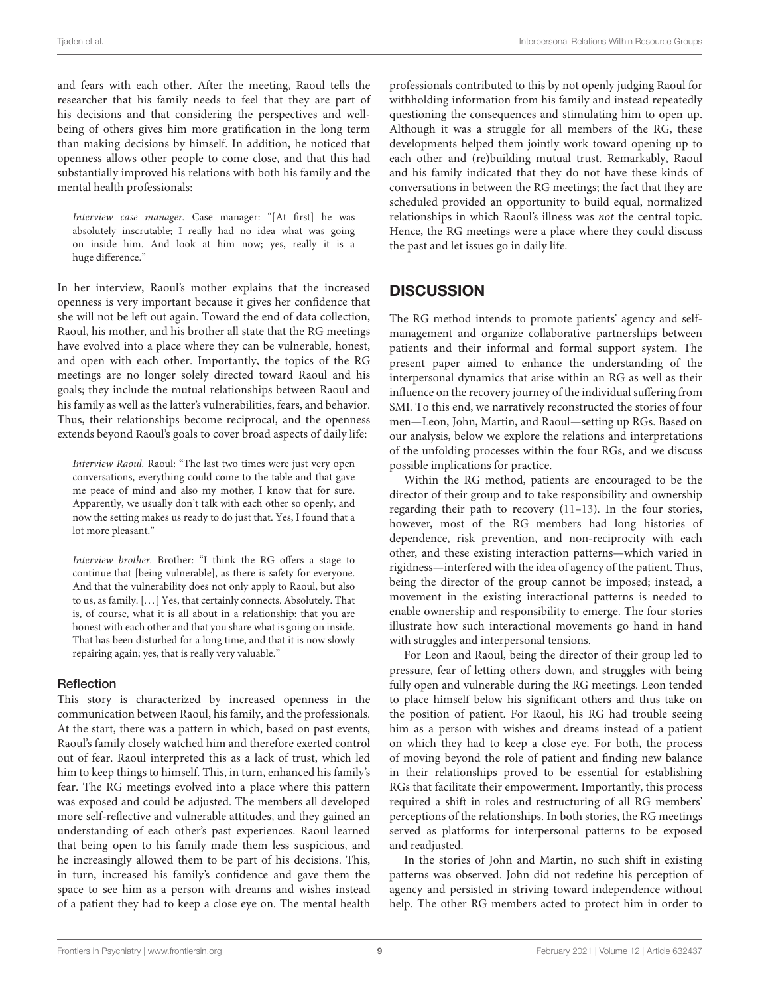and fears with each other. After the meeting, Raoul tells the researcher that his family needs to feel that they are part of his decisions and that considering the perspectives and wellbeing of others gives him more gratification in the long term than making decisions by himself. In addition, he noticed that openness allows other people to come close, and that this had substantially improved his relations with both his family and the mental health professionals:

Interview case manager. Case manager: "[At first] he was absolutely inscrutable; I really had no idea what was going on inside him. And look at him now; yes, really it is a huge difference."

In her interview, Raoul's mother explains that the increased openness is very important because it gives her confidence that she will not be left out again. Toward the end of data collection, Raoul, his mother, and his brother all state that the RG meetings have evolved into a place where they can be vulnerable, honest, and open with each other. Importantly, the topics of the RG meetings are no longer solely directed toward Raoul and his goals; they include the mutual relationships between Raoul and his family as well as the latter's vulnerabilities, fears, and behavior. Thus, their relationships become reciprocal, and the openness extends beyond Raoul's goals to cover broad aspects of daily life:

Interview Raoul. Raoul: "The last two times were just very open conversations, everything could come to the table and that gave me peace of mind and also my mother, I know that for sure. Apparently, we usually don't talk with each other so openly, and now the setting makes us ready to do just that. Yes, I found that a lot more pleasant."

Interview brother. Brother: "I think the RG offers a stage to continue that [being vulnerable], as there is safety for everyone. And that the vulnerability does not only apply to Raoul, but also to us, as family. [. . . ] Yes, that certainly connects. Absolutely. That is, of course, what it is all about in a relationship: that you are honest with each other and that you share what is going on inside. That has been disturbed for a long time, and that it is now slowly repairing again; yes, that is really very valuable."

#### Reflection

This story is characterized by increased openness in the communication between Raoul, his family, and the professionals. At the start, there was a pattern in which, based on past events, Raoul's family closely watched him and therefore exerted control out of fear. Raoul interpreted this as a lack of trust, which led him to keep things to himself. This, in turn, enhanced his family's fear. The RG meetings evolved into a place where this pattern was exposed and could be adjusted. The members all developed more self-reflective and vulnerable attitudes, and they gained an understanding of each other's past experiences. Raoul learned that being open to his family made them less suspicious, and he increasingly allowed them to be part of his decisions. This, in turn, increased his family's confidence and gave them the space to see him as a person with dreams and wishes instead of a patient they had to keep a close eye on. The mental health professionals contributed to this by not openly judging Raoul for withholding information from his family and instead repeatedly questioning the consequences and stimulating him to open up. Although it was a struggle for all members of the RG, these developments helped them jointly work toward opening up to each other and (re)building mutual trust. Remarkably, Raoul and his family indicated that they do not have these kinds of conversations in between the RG meetings; the fact that they are scheduled provided an opportunity to build equal, normalized relationships in which Raoul's illness was not the central topic. Hence, the RG meetings were a place where they could discuss the past and let issues go in daily life.

# **DISCUSSION**

The RG method intends to promote patients' agency and selfmanagement and organize collaborative partnerships between patients and their informal and formal support system. The present paper aimed to enhance the understanding of the interpersonal dynamics that arise within an RG as well as their influence on the recovery journey of the individual suffering from SMI. To this end, we narratively reconstructed the stories of four men—Leon, John, Martin, and Raoul—setting up RGs. Based on our analysis, below we explore the relations and interpretations of the unfolding processes within the four RGs, and we discuss possible implications for practice.

Within the RG method, patients are encouraged to be the director of their group and to take responsibility and ownership regarding their path to recovery [\(11–](#page-11-10)[13\)](#page-11-11). In the four stories, however, most of the RG members had long histories of dependence, risk prevention, and non-reciprocity with each other, and these existing interaction patterns—which varied in rigidness—interfered with the idea of agency of the patient. Thus, being the director of the group cannot be imposed; instead, a movement in the existing interactional patterns is needed to enable ownership and responsibility to emerge. The four stories illustrate how such interactional movements go hand in hand with struggles and interpersonal tensions.

For Leon and Raoul, being the director of their group led to pressure, fear of letting others down, and struggles with being fully open and vulnerable during the RG meetings. Leon tended to place himself below his significant others and thus take on the position of patient. For Raoul, his RG had trouble seeing him as a person with wishes and dreams instead of a patient on which they had to keep a close eye. For both, the process of moving beyond the role of patient and finding new balance in their relationships proved to be essential for establishing RGs that facilitate their empowerment. Importantly, this process required a shift in roles and restructuring of all RG members' perceptions of the relationships. In both stories, the RG meetings served as platforms for interpersonal patterns to be exposed and readjusted.

In the stories of John and Martin, no such shift in existing patterns was observed. John did not redefine his perception of agency and persisted in striving toward independence without help. The other RG members acted to protect him in order to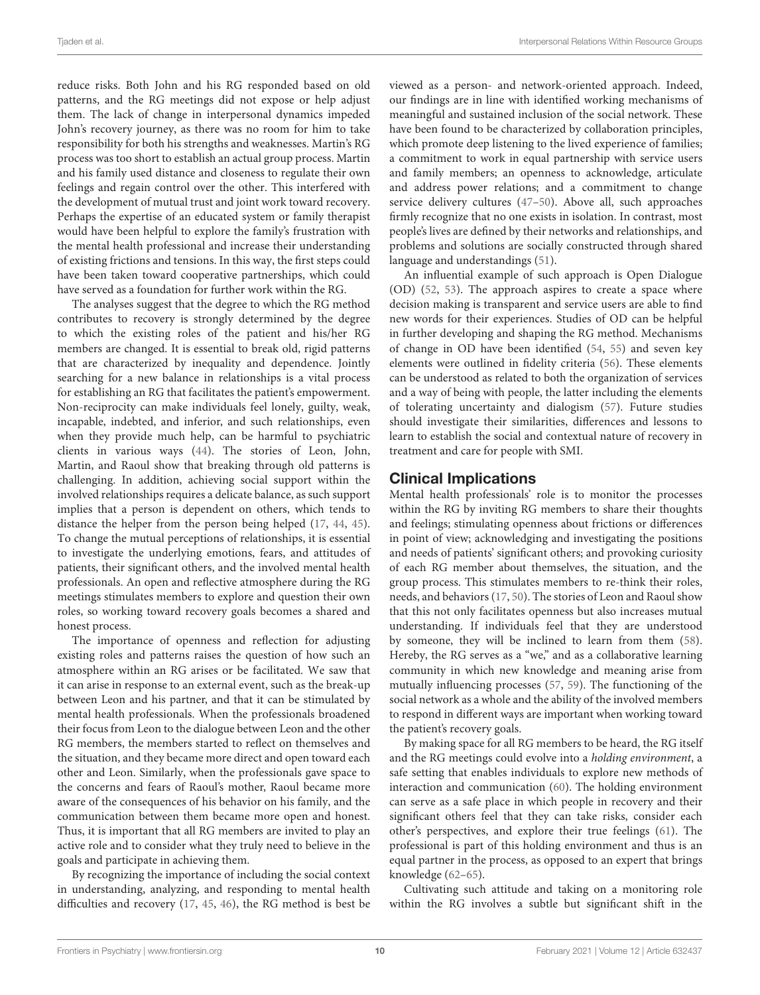reduce risks. Both John and his RG responded based on old patterns, and the RG meetings did not expose or help adjust them. The lack of change in interpersonal dynamics impeded John's recovery journey, as there was no room for him to take responsibility for both his strengths and weaknesses. Martin's RG process was too short to establish an actual group process. Martin and his family used distance and closeness to regulate their own feelings and regain control over the other. This interfered with the development of mutual trust and joint work toward recovery. Perhaps the expertise of an educated system or family therapist would have been helpful to explore the family's frustration with the mental health professional and increase their understanding of existing frictions and tensions. In this way, the first steps could have been taken toward cooperative partnerships, which could have served as a foundation for further work within the RG.

The analyses suggest that the degree to which the RG method contributes to recovery is strongly determined by the degree to which the existing roles of the patient and his/her RG members are changed. It is essential to break old, rigid patterns that are characterized by inequality and dependence. Jointly searching for a new balance in relationships is a vital process for establishing an RG that facilitates the patient's empowerment. Non-reciprocity can make individuals feel lonely, guilty, weak, incapable, indebted, and inferior, and such relationships, even when they provide much help, can be harmful to psychiatric clients in various ways [\(44\)](#page-12-5). The stories of Leon, John, Martin, and Raoul show that breaking through old patterns is challenging. In addition, achieving social support within the involved relationships requires a delicate balance, as such support implies that a person is dependent on others, which tends to distance the helper from the person being helped [\(17,](#page-11-15) [44,](#page-12-5) [45\)](#page-12-6). To change the mutual perceptions of relationships, it is essential to investigate the underlying emotions, fears, and attitudes of patients, their significant others, and the involved mental health professionals. An open and reflective atmosphere during the RG meetings stimulates members to explore and question their own roles, so working toward recovery goals becomes a shared and honest process.

The importance of openness and reflection for adjusting existing roles and patterns raises the question of how such an atmosphere within an RG arises or be facilitated. We saw that it can arise in response to an external event, such as the break-up between Leon and his partner, and that it can be stimulated by mental health professionals. When the professionals broadened their focus from Leon to the dialogue between Leon and the other RG members, the members started to reflect on themselves and the situation, and they became more direct and open toward each other and Leon. Similarly, when the professionals gave space to the concerns and fears of Raoul's mother, Raoul became more aware of the consequences of his behavior on his family, and the communication between them became more open and honest. Thus, it is important that all RG members are invited to play an active role and to consider what they truly need to believe in the goals and participate in achieving them.

By recognizing the importance of including the social context in understanding, analyzing, and responding to mental health difficulties and recovery [\(17,](#page-11-15) [45,](#page-12-6) [46\)](#page-12-7), the RG method is best be viewed as a person- and network-oriented approach. Indeed, our findings are in line with identified working mechanisms of meaningful and sustained inclusion of the social network. These have been found to be characterized by collaboration principles, which promote deep listening to the lived experience of families; a commitment to work in equal partnership with service users and family members; an openness to acknowledge, articulate and address power relations; and a commitment to change service delivery cultures [\(47](#page-12-8)[–50\)](#page-12-9). Above all, such approaches firmly recognize that no one exists in isolation. In contrast, most people's lives are defined by their networks and relationships, and problems and solutions are socially constructed through shared language and understandings [\(51\)](#page-12-10).

An influential example of such approach is Open Dialogue (OD) [\(52,](#page-12-11) [53\)](#page-12-12). The approach aspires to create a space where decision making is transparent and service users are able to find new words for their experiences. Studies of OD can be helpful in further developing and shaping the RG method. Mechanisms of change in OD have been identified [\(54,](#page-12-13) [55\)](#page-12-14) and seven key elements were outlined in fidelity criteria [\(56\)](#page-12-15). These elements can be understood as related to both the organization of services and a way of being with people, the latter including the elements of tolerating uncertainty and dialogism [\(57\)](#page-12-16). Future studies should investigate their similarities, differences and lessons to learn to establish the social and contextual nature of recovery in treatment and care for people with SMI.

## Clinical Implications

Mental health professionals' role is to monitor the processes within the RG by inviting RG members to share their thoughts and feelings; stimulating openness about frictions or differences in point of view; acknowledging and investigating the positions and needs of patients' significant others; and provoking curiosity of each RG member about themselves, the situation, and the group process. This stimulates members to re-think their roles, needs, and behaviors [\(17,](#page-11-15) [50\)](#page-12-9). The stories of Leon and Raoul show that this not only facilitates openness but also increases mutual understanding. If individuals feel that they are understood by someone, they will be inclined to learn from them [\(58\)](#page-12-17). Hereby, the RG serves as a "we," and as a collaborative learning community in which new knowledge and meaning arise from mutually influencing processes [\(57,](#page-12-16) [59\)](#page-12-18). The functioning of the social network as a whole and the ability of the involved members to respond in different ways are important when working toward the patient's recovery goals.

By making space for all RG members to be heard, the RG itself and the RG meetings could evolve into a holding environment, a safe setting that enables individuals to explore new methods of interaction and communication [\(60\)](#page-12-19). The holding environment can serve as a safe place in which people in recovery and their significant others feel that they can take risks, consider each other's perspectives, and explore their true feelings [\(61\)](#page-12-20). The professional is part of this holding environment and thus is an equal partner in the process, as opposed to an expert that brings knowledge [\(62–](#page-12-21)[65\)](#page-12-22).

Cultivating such attitude and taking on a monitoring role within the RG involves a subtle but significant shift in the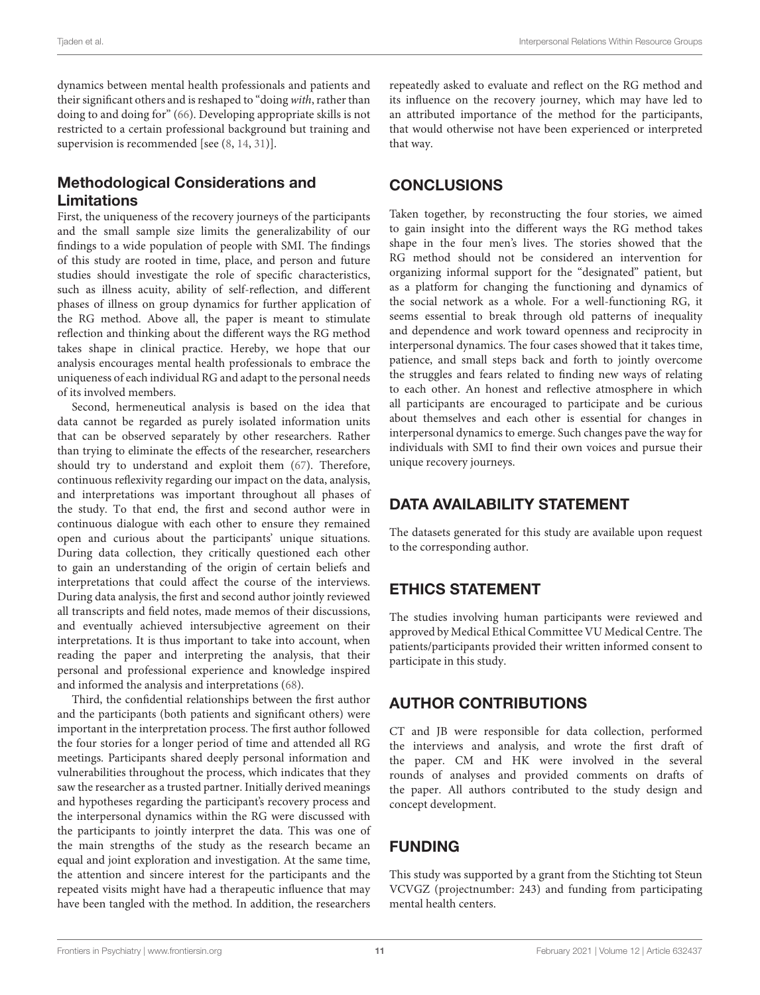dynamics between mental health professionals and patients and their significant others and is reshaped to "doing with, rather than doing to and doing for" [\(66\)](#page-12-23). Developing appropriate skills is not restricted to a certain professional background but training and supervision is recommended [see [\(8,](#page-11-7) [14,](#page-11-13) [31\)](#page-11-28)].

# Methodological Considerations and Limitations

First, the uniqueness of the recovery journeys of the participants and the small sample size limits the generalizability of our findings to a wide population of people with SMI. The findings of this study are rooted in time, place, and person and future studies should investigate the role of specific characteristics, such as illness acuity, ability of self-reflection, and different phases of illness on group dynamics for further application of the RG method. Above all, the paper is meant to stimulate reflection and thinking about the different ways the RG method takes shape in clinical practice. Hereby, we hope that our analysis encourages mental health professionals to embrace the uniqueness of each individual RG and adapt to the personal needs of its involved members.

Second, hermeneutical analysis is based on the idea that data cannot be regarded as purely isolated information units that can be observed separately by other researchers. Rather than trying to eliminate the effects of the researcher, researchers should try to understand and exploit them [\(67\)](#page-12-24). Therefore, continuous reflexivity regarding our impact on the data, analysis, and interpretations was important throughout all phases of the study. To that end, the first and second author were in continuous dialogue with each other to ensure they remained open and curious about the participants' unique situations. During data collection, they critically questioned each other to gain an understanding of the origin of certain beliefs and interpretations that could affect the course of the interviews. During data analysis, the first and second author jointly reviewed all transcripts and field notes, made memos of their discussions, and eventually achieved intersubjective agreement on their interpretations. It is thus important to take into account, when reading the paper and interpreting the analysis, that their personal and professional experience and knowledge inspired and informed the analysis and interpretations [\(68\)](#page-12-25).

Third, the confidential relationships between the first author and the participants (both patients and significant others) were important in the interpretation process. The first author followed the four stories for a longer period of time and attended all RG meetings. Participants shared deeply personal information and vulnerabilities throughout the process, which indicates that they saw the researcher as a trusted partner. Initially derived meanings and hypotheses regarding the participant's recovery process and the interpersonal dynamics within the RG were discussed with the participants to jointly interpret the data. This was one of the main strengths of the study as the research became an equal and joint exploration and investigation. At the same time, the attention and sincere interest for the participants and the repeated visits might have had a therapeutic influence that may have been tangled with the method. In addition, the researchers repeatedly asked to evaluate and reflect on the RG method and its influence on the recovery journey, which may have led to an attributed importance of the method for the participants, that would otherwise not have been experienced or interpreted that way.

# **CONCLUSIONS**

Taken together, by reconstructing the four stories, we aimed to gain insight into the different ways the RG method takes shape in the four men's lives. The stories showed that the RG method should not be considered an intervention for organizing informal support for the "designated" patient, but as a platform for changing the functioning and dynamics of the social network as a whole. For a well-functioning RG, it seems essential to break through old patterns of inequality and dependence and work toward openness and reciprocity in interpersonal dynamics. The four cases showed that it takes time, patience, and small steps back and forth to jointly overcome the struggles and fears related to finding new ways of relating to each other. An honest and reflective atmosphere in which all participants are encouraged to participate and be curious about themselves and each other is essential for changes in interpersonal dynamics to emerge. Such changes pave the way for individuals with SMI to find their own voices and pursue their unique recovery journeys.

# DATA AVAILABILITY STATEMENT

The datasets generated for this study are available upon request to the corresponding author.

# ETHICS STATEMENT

The studies involving human participants were reviewed and approved by Medical Ethical Committee VU Medical Centre. The patients/participants provided their written informed consent to participate in this study.

# AUTHOR CONTRIBUTIONS

CT and JB were responsible for data collection, performed the interviews and analysis, and wrote the first draft of the paper. CM and HK were involved in the several rounds of analyses and provided comments on drafts of the paper. All authors contributed to the study design and concept development.

# FUNDING

This study was supported by a grant from the Stichting tot Steun VCVGZ (projectnumber: 243) and funding from participating mental health centers.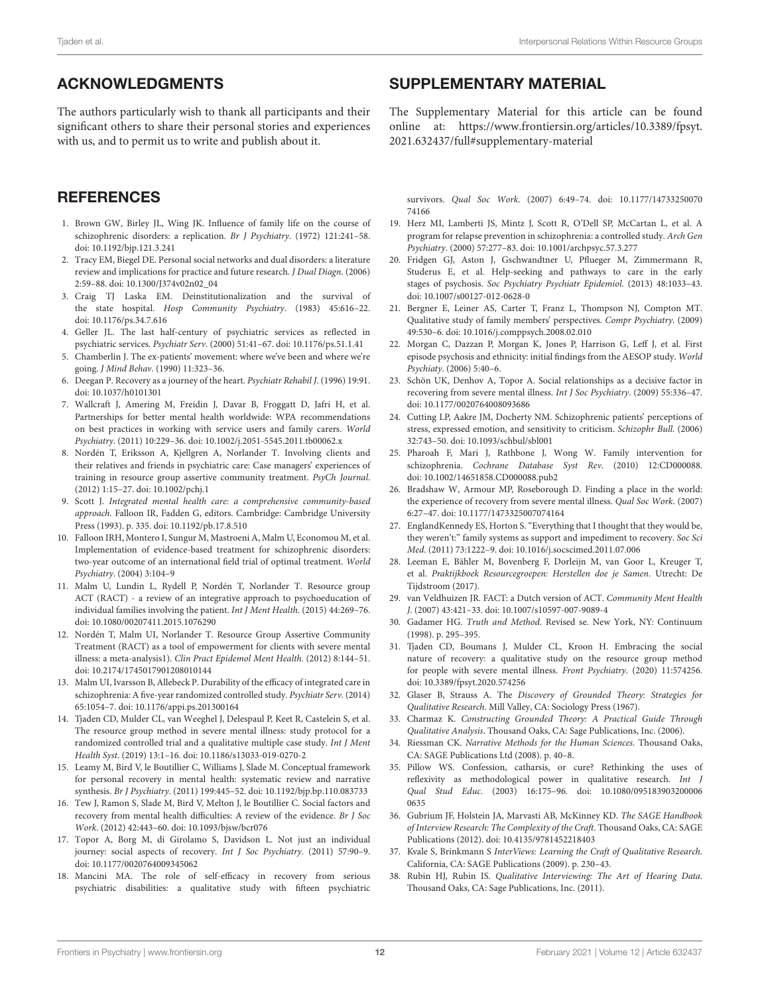# ACKNOWLEDGMENTS

The authors particularly wish to thank all participants and their significant others to share their personal stories and experiences with us, and to permit us to write and publish about it.

# **REFERENCES**

- <span id="page-11-0"></span>1. Brown GW, Birley JL, Wing JK. Influence of family life on the course of schizophrenic disorders: a replication. Br J Psychiatry. (1972) 121:241–58. doi: [10.1192/bjp.121.3.241](https://doi.org/10.1192/bjp.121.3.241)
- <span id="page-11-1"></span>2. Tracy EM, Biegel DE. Personal social networks and dual disorders: a literature review and implications for practice and future research. J Dual Diagn. (2006) 2:59–88. doi: [10.1300/J374v02n02\\_04](https://doi.org/10.1300/J374v02n02_04)
- <span id="page-11-2"></span>3. Craig TJ Laska EM. Deinstitutionalization and the survival of the state hospital. Hosp Community Psychiatry. (1983) 45:616–22. doi: [10.1176/ps.34.7.616](https://doi.org/10.1176/ps.34.7.616)
- <span id="page-11-3"></span>4. Geller JL. The last half-century of psychiatric services as reflected in psychiatric services. Psychiatr Serv. (2000) 51:41–67. doi: [10.1176/ps.51.1.41](https://doi.org/10.1176/ps.51.1.41)
- <span id="page-11-4"></span>5. Chamberlin J. The ex-patients' movement: where we've been and where we're going. J Mind Behav. (1990) 11:323–36.
- <span id="page-11-5"></span>6. Deegan P. Recovery as a journey of the heart. Psychiatr Rehabil J. (1996) 19:91. doi: [10.1037/h0101301](https://doi.org/10.1037/h0101301)
- <span id="page-11-6"></span>7. Wallcraft J, Amering M, Freidin J, Davar B, Froggatt D, Jafri H, et al. Partnerships for better mental health worldwide: WPA recommendations on best practices in working with service users and family carers. World Psychiatry. (2011) 10:229–36. doi: [10.1002/j.2051-5545.2011.tb00062.x](https://doi.org/10.1002/j.2051-5545.2011.tb00062.x)
- <span id="page-11-7"></span>8. Nordén T, Eriksson A, Kjellgren A, Norlander T. Involving clients and their relatives and friends in psychiatric care: Case managers' experiences of training in resource group assertive community treatment. PsyCh Journal. (2012) 1:15–27. doi: [10.1002/pchj.1](https://doi.org/10.1002/pchj.1)
- <span id="page-11-8"></span>9. Scott J. Integrated mental health care: a comprehensive community-based approach. Falloon IR, Fadden G, editors. Cambridge: Cambridge University Press (1993). p. 335. doi: [10.1192/pb.17.8.510](https://doi.org/10.1192/pb.17.8.510)
- <span id="page-11-9"></span>10. Falloon IRH, Montero I, Sungur M, Mastroeni A, Malm U, Economou M, et al. Implementation of evidence-based treatment for schizophrenic disorders: two-year outcome of an international field trial of optimal treatment. World Psychiatry. (2004) 3:104–9
- <span id="page-11-10"></span>11. Malm U, Lundin L, Rydell P, Nordén T, Norlander T. Resource group ACT (RACT) - a review of an integrative approach to psychoeducation of individual families involving the patient. Int J Ment Health. (2015) 44:269–76. doi: [10.1080/00207411.2015.1076290](https://doi.org/10.1080/00207411.2015.1076290)
- <span id="page-11-12"></span>12. Nordén T, Malm UI, Norlander T. Resource Group Assertive Community Treatment (RACT) as a tool of empowerment for clients with severe mental illness: a meta-analysis1). Clin Pract Epidemol Ment Health. (2012) 8:144–51. doi: [10.2174/1745017901208010144](https://doi.org/10.2174/1745017901208010144)
- <span id="page-11-11"></span>13. Malm UI, Ivarsson B, Allebeck P. Durability of the efficacy of integrated care in schizophrenia: A five-year randomized controlled study. Psychiatr Serv. (2014) 65:1054–7. doi: [10.1176/appi.ps.201300164](https://doi.org/10.1176/appi.ps.201300164)
- <span id="page-11-13"></span>14. Tjaden CD, Mulder CL, van Weeghel J, Delespaul P, Keet R, Castelein S, et al. The resource group method in severe mental illness: study protocol for a randomized controlled trial and a qualitative multiple case study. Int J Ment Health Syst. (2019) 13:1–16. doi: [10.1186/s13033-019-0270-2](https://doi.org/10.1186/s13033-019-0270-2)
- <span id="page-11-14"></span>15. Leamy M, Bird V, le Boutillier C, Williams J, Slade M. Conceptual framework for personal recovery in mental health: systematic review and narrative synthesis. Br J Psychiatry. (2011) 199:445–52. doi: [10.1192/bjp.bp.110.083733](https://doi.org/10.1192/bjp.bp.110.083733)
- 16. Tew J, Ramon S, Slade M, Bird V, Melton J, le Boutillier C. Social factors and recovery from mental health difficulties: A review of the evidence. Br J Soc Work. (2012) 42:443–60. doi: [10.1093/bjsw/bcr076](https://doi.org/10.1093/bjsw/bcr076)
- <span id="page-11-15"></span>17. Topor A, Borg M, di Girolamo S, Davidson L. Not just an individual journey: social aspects of recovery. Int J Soc Psychiatry. (2011) 57:90–9. doi: [10.1177/0020764009345062](https://doi.org/10.1177/0020764009345062)
- <span id="page-11-16"></span>18. Mancini MA. The role of self-efficacy in recovery from serious psychiatric disabilities: a qualitative study with fifteen psychiatric

# SUPPLEMENTARY MATERIAL

<span id="page-11-32"></span>The Supplementary Material for this article can be found [online at: https://www.frontiersin.org/articles/10.3389/fpsyt.](https://www.frontiersin.org/articles/10.3389/fpsyt.2021.632437/full#supplementary-material) 2021.632437/full#supplementary-material

survivors. Qual Soc Work[. \(2007\) 6:49–74. doi: 10.1177/14733250070](https://doi.org/10.1177/1473325007074166) 74166

- <span id="page-11-17"></span>19. Herz MI, Lamberti JS, Mintz J, Scott R, O'Dell SP, McCartan L, et al. A program for relapse prevention in schizophrenia: a controlled study. Arch Gen Psychiatry. (2000) 57:277–83. doi: [10.1001/archpsyc.57.3.277](https://doi.org/10.1001/archpsyc.57.3.277)
- <span id="page-11-18"></span>20. Fridgen GJ, Aston J, Gschwandtner U, Pflueger M, Zimmermann R, Studerus E, et al. Help-seeking and pathways to care in the early stages of psychosis. Soc Psychiatry Psychiatr Epidemiol. (2013) 48:1033–43. doi: [10.1007/s00127-012-0628-0](https://doi.org/10.1007/s00127-012-0628-0)
- 21. Bergner E, Leiner AS, Carter T, Franz L, Thompson NJ, Compton MT. Qualitative study of family members' perspectives. Compr Psychiatry. (2009) 49:530–6. doi: [10.1016/j.comppsych.2008.02.010](https://doi.org/10.1016/j.comppsych.2008.02.010)
- <span id="page-11-19"></span>22. Morgan C, Dazzan P, Morgan K, Jones P, Harrison G, Leff J, et al. First episode psychosis and ethnicity: initial findings from the AESOP study. World Psychiaty. (2006) 5:40–6.
- <span id="page-11-20"></span>23. Schön UK, Denhov A, Topor A. Social relationships as a decisive factor in recovering from severe mental illness. Int J Soc Psychiatry. (2009) 55:336–47. doi: [10.1177/0020764008093686](https://doi.org/10.1177/0020764008093686)
- <span id="page-11-21"></span>24. Cutting LP, Aakre JM, Docherty NM. Schizophrenic patients' perceptions of stress, expressed emotion, and sensitivity to criticism. Schizophr Bull. (2006) 32:743–50. doi: [10.1093/schbul/sbl001](https://doi.org/10.1093/schbul/sbl001)
- <span id="page-11-22"></span>25. Pharoah F, Mari J, Rathbone J, Wong W. Family intervention for schizophrenia. Cochrane Database Syst Rev. (2010) 12:CD000088. doi: [10.1002/14651858.CD000088.pub2](https://doi.org/10.1002/14651858.CD000088.pub2)
- <span id="page-11-23"></span>26. Bradshaw W, Armour MP, Roseborough D. Finding a place in the world: the experience of recovery from severe mental illness. Qual Soc Work. (2007) 6:27–47. doi: [10.1177/1473325007074164](https://doi.org/10.1177/1473325007074164)
- <span id="page-11-24"></span>27. EnglandKennedy ES, Horton S. "Everything that I thought that they would be, they weren't:" family systems as support and impediment to recovery. Soc Sci Med. (2011) 73:1222–9. doi: [10.1016/j.socscimed.2011.07.006](https://doi.org/10.1016/j.socscimed.2011.07.006)
- <span id="page-11-25"></span>28. Leeman E, Bähler M, Bovenberg F, Dorleijn M, van Goor L, Kreuger T, et al. Praktijkboek Resourcegroepen: Herstellen doe je Samen. Utrecht: De Tijdstroom (2017).
- <span id="page-11-26"></span>29. van Veldhuizen JR. FACT: a Dutch version of ACT. Community Ment Health J. (2007) 43:421–33. doi: [10.1007/s10597-007-9089-4](https://doi.org/10.1007/s10597-007-9089-4)
- <span id="page-11-27"></span>30. Gadamer HG. Truth and Method. Revised se. New York, NY: Continuum (1998). p. 295–395.
- <span id="page-11-28"></span>31. Tjaden CD, Boumans J, Mulder CL, Kroon H. Embracing the social nature of recovery: a qualitative study on the resource group method for people with severe mental illness. Front Psychiatry. (2020) 11:574256. doi: [10.3389/fpsyt.2020.574256](https://doi.org/10.3389/fpsyt.2020.574256)
- <span id="page-11-29"></span>32. Glaser B, Strauss A. The Discovery of Grounded Theory: Strategies for Qualitative Research. Mill Valley, CA: Sociology Press (1967).
- <span id="page-11-30"></span>33. Charmaz K. Constructing Grounded Theory: A Practical Guide Through Qualitative Analysis. Thousand Oaks, CA: Sage Publications, Inc. (2006).
- <span id="page-11-31"></span>34. Riessman CK. Narrative Methods for the Human Sciences. Thousand Oaks, CA: SAGE Publications Ltd (2008). p. 40–8.
- <span id="page-11-33"></span>35. Pillow WS. Confession, catharsis, or cure? Rethinking the uses of reflexivity as methodological power in qualitative research. Int J Qual Stud Educ[. \(2003\) 16:175–96. doi: 10.1080/095183903200006](https://doi.org/10.1080/0951839032000060635) 0635
- 36. Gubrium JF, Holstein JA, Marvasti AB, McKinney KD. The SAGE Handbook of Interview Research: The Complexity of the Craft. Thousand Oaks, CA: SAGE Publications (2012). doi: [10.4135/9781452218403](https://doi.org/10.4135/9781452218403)
- 37. Kvale S, Brinkmann S InterViews: Learning the Craft of Qualitative Research. California, CA: SAGE Publications (2009). p. 230–43.
- <span id="page-11-34"></span>38. Rubin HJ, Rubin IS. Qualitative Interviewing: The Art of Hearing Data. Thousand Oaks, CA: Sage Publications, Inc. (2011).